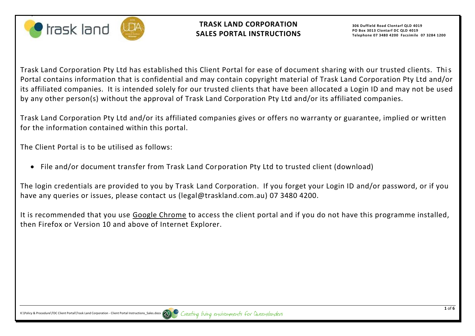



**306 Duffield Road Clontarf QLD 4019 PO Box 3013 Clontarf DC QLD 4019 Telephone 07 3480 4200 Facsimile 07 3284 1200**

Trask Land Corporation Pty Ltd has established this Client Portal for ease of document sharing with our trusted clients. This Portal contains information that is confidential and may contain copyright material of Trask Land Corporation Pty Ltd and/or its affiliated companies. It is intended solely for our trusted clients that have been allocated a Login ID and may not be used by any other person(s) without the approval of Trask Land Corporation Pty Ltd and/or its affiliated companies.

Trask Land Corporation Pty Ltd and/or its affiliated companies gives or offers no warranty or guarantee, implied or written for the information contained within this portal.

The Client Portal is to be utilised as follows:

• File and/or document transfer from Trask Land Corporation Pty Ltd to trusted client (download)

The login credentials are provided to you by Trask Land Corporation. If you forget your Login ID and/or password, or if you have any queries or issues, please contact us (legal@traskland.com.au) 07 3480 4200.

It is recommended that you use Google Chrome to access the client portal and if you do not have this programme installed, then Firefox or Version 10 and above of Internet Explorer.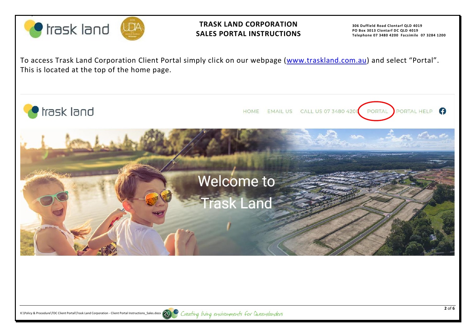

## **TRASK LAND CORPORATION SALES PORTAL INSTRUCTIONS**

**306 Duffield Road Clontarf QLD 4019 PO Box 3013 Clontarf DC QLD 4019 Telephone 07 3480 4200 Facsimile 07 3284 1200**

To access Trask Land Corporation Client Portal simply click on our webpage [\(www.traskland.com.au\)](http://www.traskland.com.au/) and select "Portal". This is located at the top of the home page.



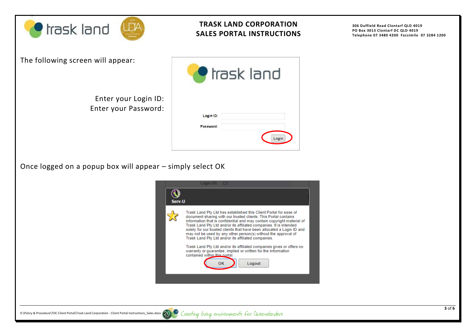

## **TRASK LAND CORPORATION SALES PORTAL INSTRUCTIONS**

**306 Duffield Road Clontarf QLD 4019 PO Box 3013 Clontarf DC QLD 4019 Telephone 07 3480 4200 Facsimile 07 3284 1200**

| The following screen will appear: |  |  |  |
|-----------------------------------|--|--|--|
|-----------------------------------|--|--|--|

Enter your Login ID: Enter your Password:

|                        | trask land |
|------------------------|------------|
| Login ID:<br>Password: |            |
|                        | Login      |

Once logged on a popup box will appear – simply select OK

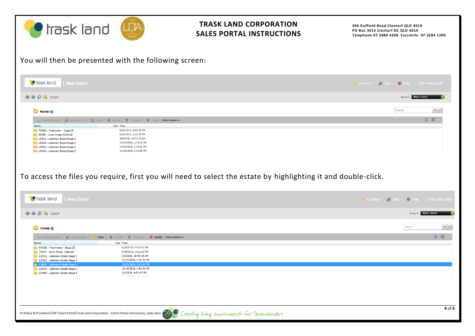| <b>Trask land</b>                                                                                                                                                                                                                                                                                                                                              | ⅅÅ                                                                                                                                                                                         | <b>TRASK LAND CORPORATION</b><br><b>SALES PORTAL INSTRUCTIONS</b>                                              | 306 Duffield Road Clontarf QLD 4019<br>PO Box 3013 Clontarf DC QLD 4019<br>Telephone 07 3480 4200 Facsimile 07 3284 1200 |  |  |
|----------------------------------------------------------------------------------------------------------------------------------------------------------------------------------------------------------------------------------------------------------------------------------------------------------------------------------------------------------------|--------------------------------------------------------------------------------------------------------------------------------------------------------------------------------------------|----------------------------------------------------------------------------------------------------------------|--------------------------------------------------------------------------------------------------------------------------|--|--|
| You will then be presented with the following screen:                                                                                                                                                                                                                                                                                                          |                                                                                                                                                                                            |                                                                                                                |                                                                                                                          |  |  |
| <b>C</b> trask land<br><b>Web Client</b>                                                                                                                                                                                                                                                                                                                       |                                                                                                                                                                                            |                                                                                                                | Second Favorites v Seconds v Second Help Chris Yates (Staff) v                                                           |  |  |
| $\bigcirc$ $\bigcirc$ $\bigcirc$ $\bigcirc$ Homer                                                                                                                                                                                                                                                                                                              |                                                                                                                                                                                            |                                                                                                                | Jump to: Web Client                                                                                                      |  |  |
| <b>Home ®</b>                                                                                                                                                                                                                                                                                                                                                  |                                                                                                                                                                                            |                                                                                                                | v <br>Search                                                                                                             |  |  |
| Be Parent Directory   ■ New Directory   ● Open   會 Upload   零 Download   ※ Delete   More Actions ▼<br>Name<br>FWG03 - Freshwater - Stage 25<br>JSR4B - Jones Street, Rothwell<br>LOM11 - Lakeview Estate Stage 1<br>LOM12 - Lakeview Estate Stage 2<br>LOM21 - Lakeview Estate Stage 3<br>LOM40 - Lakeview Estate Stage 5                                      | Size Time<br>6/26/2019, 4:52:26 PM<br>5/29/2019, 2:11:53 PM<br>3/9/2020, 10:53:25 AM<br>11/15/2019, 1:33:32 PM<br>11/15/2019, 1:33:52 PM<br>12/18/2019, 2:02:00 PM                         | To access the files you require, first you will need to select the estate by highlighting it and double-click. | こ 闘                                                                                                                      |  |  |
| <b>o</b> trask land<br><b>Web Client</b>                                                                                                                                                                                                                                                                                                                       |                                                                                                                                                                                            |                                                                                                                | Staff Tools v Britain Chris Yates (Staff                                                                                 |  |  |
| $\Rightarrow$ $\bullet$ $\Rightarrow$ Home                                                                                                                                                                                                                                                                                                                     |                                                                                                                                                                                            |                                                                                                                | Jump to: Web Client                                                                                                      |  |  |
| $\blacksquare$ Home $\blacksquare$                                                                                                                                                                                                                                                                                                                             |                                                                                                                                                                                            |                                                                                                                | $  \vee   \circ$<br>Search                                                                                               |  |  |
| Represent Directory   the New Directory   the Open   4 Upload   7 Download   X Delete   More Actions<br>Name<br>FWG03 - Freshwater - Stage 25<br>JSR4B - Jones Street, Rothwell<br>LOM11 - Lakeview Estate Stage 1<br>LOM12 - Lakeview Estate Stage 2<br>LOM21 - Lakeview Estate Stage 3<br>LOM40 - Lakeview Estate Stage 5<br>LOM60 - Lakeview Estate Stage 6 | Size Time<br>6/26/2019, 4:52:26 PM<br>5/29/2019, 2:11:53 PM<br>3/9/2020, 10:53:25 AM<br>11/15/2019, 1:33:32 PM<br>11/15/2019, 1:33:52 PM<br>12/18/2019, 2:02:00 PM<br>3/9/2020, 4:52:07 PM |                                                                                                                | さ 譜                                                                                                                      |  |  |
| K:\Policy&Procedure\TDCClient Portal\Trask Land Corporation - Client Portal Instructions_Sales.docx and Coreating living environments for Queenslanders                                                                                                                                                                                                        |                                                                                                                                                                                            |                                                                                                                | 4 of 6                                                                                                                   |  |  |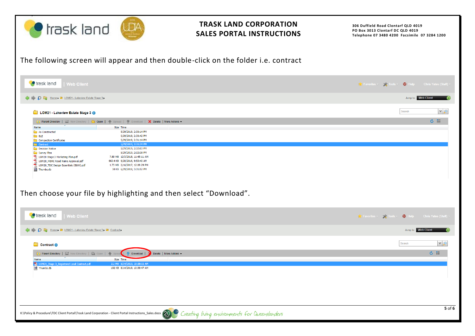